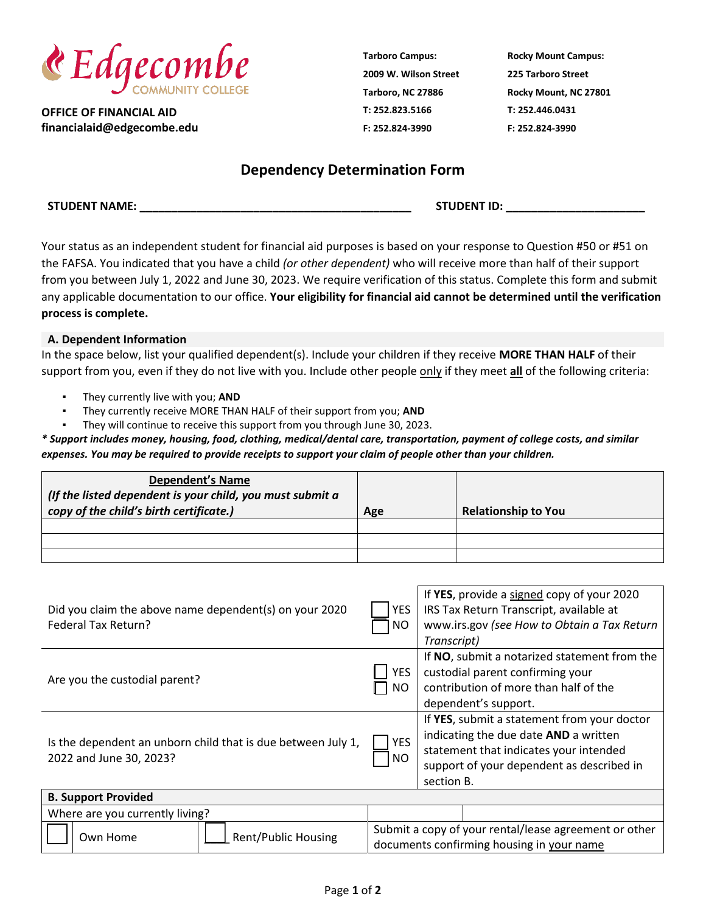

**OFFICE OF FINANCIAL AID financialaid@edgecombe.edu** **Tarboro Campus: 2009 W. Wilson Street Tarboro, NC 27886 T: 252.823.5166 F: 252.824-3990**

**Rocky Mount Campus: 225 Tarboro Street Rocky Mount, NC 27801 T: 252.446.0431 F: 252.824-3990**

## **Dependency Determination Form**

Your status as an independent student for financial aid purposes is based on your response to Question #50 or #51 on the FAFSA. You indicated that you have a child *(or other dependent)* who will receive more than half of their support from you between July 1, 2022 and June 30, 2023. We require verification of this status. Complete this form and submit any applicable documentation to our office. **Your eligibility for financial aid cannot be determined until the verification process is complete.**

## **A. Dependent Information**

In the space below, list your qualified dependent(s). Include your children if they receive **MORE THAN HALF** of their support from you, even if they do not live with you. Include other people only if they meet **all** of the following criteria:

- They currently live with you; AND
- They currently receive MORE THAN HALF of their support from you; AND
- They will continue to receive this support from you through June 30, 2023.

*\* Support includes money, housing, food, clothing, medical/dental care, transportation, payment of college costs, and similar expenses. You may be required to provide receipts to support your claim of people other than your children.* 

| <b>Dependent's Name</b><br>(If the listed dependent is your child, you must submit a<br>copy of the child's birth certificate.) | Age | <b>Relationship to You</b> |
|---------------------------------------------------------------------------------------------------------------------------------|-----|----------------------------|
|                                                                                                                                 |     |                            |
|                                                                                                                                 |     |                            |
|                                                                                                                                 |     |                            |

| Did you claim the above name dependent(s) on your 2020<br>Federal Tax Return?           | YES<br>NO                                                                                          | If YES, provide a signed copy of your 2020<br>IRS Tax Return Transcript, available at<br>www.irs.gov (see How to Obtain a Tax Return<br>Transcript)                                       |  |  |
|-----------------------------------------------------------------------------------------|----------------------------------------------------------------------------------------------------|-------------------------------------------------------------------------------------------------------------------------------------------------------------------------------------------|--|--|
| Are you the custodial parent?                                                           | YES.<br>ΝO                                                                                         | If NO, submit a notarized statement from the<br>custodial parent confirming your<br>contribution of more than half of the<br>dependent's support.                                         |  |  |
| Is the dependent an unborn child that is due between July 1,<br>2022 and June 30, 2023? | <b>YES</b><br><b>NO</b>                                                                            | If YES, submit a statement from your doctor<br>indicating the due date AND a written<br>statement that indicates your intended<br>support of your dependent as described in<br>section B. |  |  |
| <b>B. Support Provided</b>                                                              |                                                                                                    |                                                                                                                                                                                           |  |  |
| Where are you currently living?                                                         |                                                                                                    |                                                                                                                                                                                           |  |  |
| <b>Rent/Public Housing</b><br>Own Home                                                  | Submit a copy of your rental/lease agreement or other<br>documente confirming housing in vous nome |                                                                                                                                                                                           |  |  |

documents confirming housing in your name